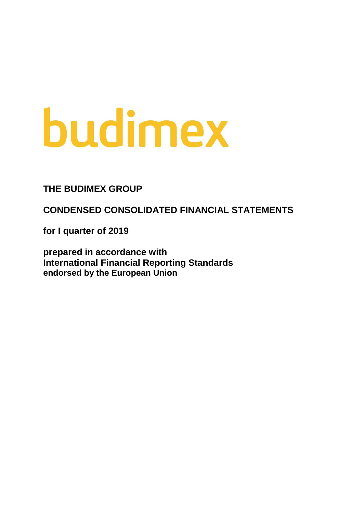# budimex

**THE BUDIMEX GROUP**

**CONDENSED CONSOLIDATED FINANCIAL STATEMENTS**

**for I quarter of 2019**

**prepared in accordance with International Financial Reporting Standards endorsed by the European Union**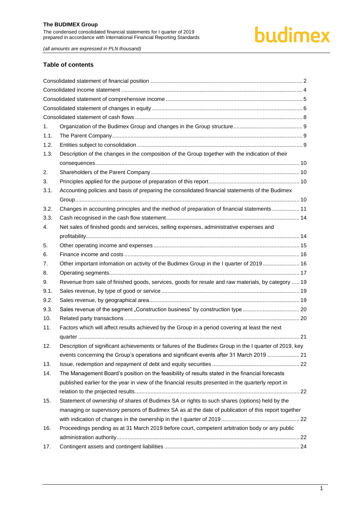prepared in accordance with International Financial Reporting Standards

# budimex

*(all amounts are expressed in PLN thousand)*

# **Table of contents**

| 1.   |                                                                                                        |  |
|------|--------------------------------------------------------------------------------------------------------|--|
| 1.1. |                                                                                                        |  |
| 1.2. |                                                                                                        |  |
| 1.3. | Description of the changes in the composition of the Group together with the indication of their       |  |
|      |                                                                                                        |  |
| 2.   |                                                                                                        |  |
| 3.   |                                                                                                        |  |
| 3.1. | Accounting policies and basis of preparing the consolidated financial statements of the Budimex        |  |
|      |                                                                                                        |  |
| 3.2. | Changes in accounting principles and the method of preparation of financial statements 11              |  |
| 3.3. |                                                                                                        |  |
| 4.   | Net sales of finished goods and services, selling expenses, administrative expenses and                |  |
|      |                                                                                                        |  |
| 5.   |                                                                                                        |  |
| 6.   |                                                                                                        |  |
| 7.   | Other important infomation on activity of the Budimex Group in the I quarter of 2019 16                |  |
| 8.   |                                                                                                        |  |
| 9.   | Revenue from sale of finished goods, services, goods for resale and raw materials, by category  19     |  |
| 9.1. |                                                                                                        |  |
| 9.2. |                                                                                                        |  |
| 9.3. |                                                                                                        |  |
| 10.  |                                                                                                        |  |
| 11.  | Factors which will affect results achieved by the Group in a period covering at least the next         |  |
|      |                                                                                                        |  |
| 12.  | Description of significant achievements or failures of the Budimex Group in the I quarter of 2019, key |  |
|      | events concerning the Group's operations and significant events after 31 March 2019  21                |  |
| 13.  |                                                                                                        |  |
| 14.  | The Management Board's position on the feasibility of results stated in the financial forecasts        |  |
|      | published earlier for the year in view of the financial results presented in the quarterly report in   |  |
|      |                                                                                                        |  |
| 15.  | Statement of ownership of shares of Budimex SA or rights to such shares (options) held by the          |  |
|      | managing or supervisory persons of Budimex SA as at the date of publication of this report together    |  |
|      |                                                                                                        |  |
| 16.  | Proceedings pending as at 31 March 2019 before court, competent arbitration body or any public         |  |
|      |                                                                                                        |  |
| 17.  |                                                                                                        |  |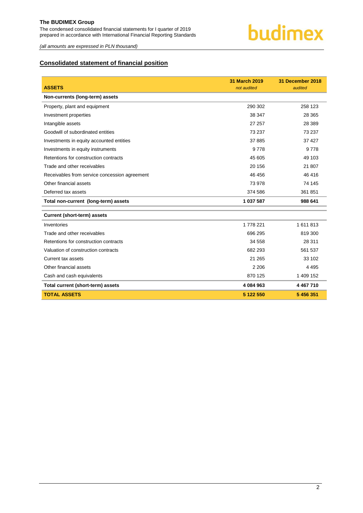

*(all amounts are expressed in PLN thousand)*

# <span id="page-2-0"></span>**Consolidated statement of financial position**

|                                               | 31 March 2019 | 31 December 2018 |
|-----------------------------------------------|---------------|------------------|
| <b>ASSETS</b>                                 | not audited   | audited          |
| Non-currents (long-term) assets               |               |                  |
| Property, plant and equipment                 | 290 302       | 258 123          |
| Investment properties                         | 38 347        | 28 3 65          |
| Intangible assets                             | 27 257        | 28 389           |
| Goodwill of subordinated entities             | 73 237        | 73 237           |
| Investments in equity accounted entities      | 37 885        | 37 427           |
| Investments in equity instruments             | 9778          | 9778             |
| Retentions for construction contracts         | 45 605        | 49 103           |
| Trade and other receivables                   | 20 156        | 21 807           |
| Receivables from service concession agreement | 46 456        | 46 416           |
| Other financial assets                        | 73 978        | 74 145           |
| Deferred tax assets                           | 374 586       | 361 851          |
| Total non-current (long-term) assets          | 1 037 587     | 988 641          |
| <b>Current (short-term) assets</b>            |               |                  |
| Inventories                                   | 1778 221      | 1611813          |
| Trade and other receivables                   | 696 295       | 819 300          |
| Retentions for construction contracts         | 34 558        | 28 311           |
| Valuation of construction contracts           | 682 293       | 561 537          |
| Current tax assets                            | 21 265        | 33 102           |
| Other financial assets                        | 2 2 0 6       | 4 4 9 5          |
| Cash and cash equivalents                     | 870 125       | 1 409 152        |
| Total current (short-term) assets             | 4 084 963     | 4 4 6 7 7 1 0    |
| <b>TOTAL ASSETS</b>                           | 5 122 550     | 5 456 351        |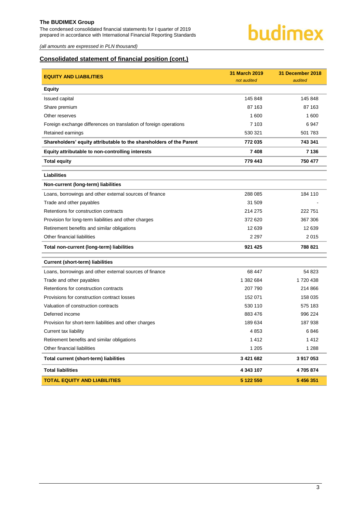The condensed consolidated financial statements for I quarter of 2019 prepared in accordance with International Financial Reporting Standards



*(all amounts are expressed in PLN thousand)*

# **Consolidated statement of financial position (cont.)**

| <b>EQUITY AND LIABILITIES</b>                                       | 31 March 2019<br>not audited | 31 December 2018<br>audited |
|---------------------------------------------------------------------|------------------------------|-----------------------------|
| <b>Equity</b>                                                       |                              |                             |
| Issued capital                                                      | 145 848                      | 145 848                     |
| Share premium                                                       | 87 163                       | 87 163                      |
| Other reserves                                                      | 1 600                        | 1 600                       |
| Foreign exchange differences on translation of foreign operations   | 7 103                        | 6947                        |
| Retained earnings                                                   | 530 321                      | 501 783                     |
| Shareholders' equity attributable to the shareholders of the Parent | 772 035                      | 743 341                     |
| Equity attributable to non-controlling interests                    | 7 4 0 8                      | 7 136                       |
| <b>Total equity</b>                                                 | 779 443                      | 750 477                     |
| <b>Liabilities</b>                                                  |                              |                             |
| Non-current (long-term) liabilities                                 |                              |                             |
| Loans, borrowings and other external sources of finance             | 288 085                      | 184 110                     |
| Trade and other payables                                            | 31 509                       |                             |
| Retentions for construction contracts                               | 214 275                      | 222 751                     |
| Provision for long-term liabilities and other charges               | 372 620                      | 367 306                     |
| Retirement benefits and similar obligations                         | 12 639                       | 12 639                      |
| Other financial liabilities                                         | 2 2 9 7                      | 2015                        |
| Total non-current (long-term) liabilities                           | 921 425                      | 788 821                     |
| <b>Current (short-term) liabilities</b>                             |                              |                             |
| Loans, borrowings and other external sources of finance             | 68 447                       | 54 823                      |
| Trade and other payables                                            | 1 382 684                    | 1720438                     |
| Retentions for construction contracts                               | 207 790                      | 214 866                     |
| Provisions for construction contract losses                         | 152 071                      | 158 035                     |
| Valuation of construction contracts                                 | 530 110                      | 575 183                     |
| Deferred income                                                     | 883 476                      | 996 224                     |
| Provision for short-term liabilities and other charges              | 189 634                      | 187 938                     |
| Current tax liability                                               | 4853                         | 6846                        |
| Retirement benefits and similar obligations                         | 1412                         | 1412                        |
| Other financial liabilities                                         | 1 2 0 5                      | 1 2 8 8                     |
| Total current (short-term) liabilities                              | 3 421 682                    | 3 917 053                   |
| <b>Total liabilities</b>                                            | 4 343 107                    | 4705874                     |
| <b>TOTAL EQUITY AND LIABILITIES</b>                                 | 5 122 550                    | 5 456 351                   |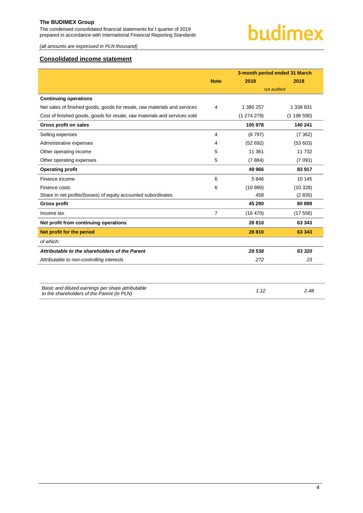The condensed consolidated financial statements for I quarter of 2019 prepared in accordance with International Financial Reporting Standards

*(all amounts are expressed in PLN thousand)*

# <span id="page-4-0"></span>**Consolidated income statement**

|                                                                                                 |             | 3-month period ended 31 March |           |  |  |
|-------------------------------------------------------------------------------------------------|-------------|-------------------------------|-----------|--|--|
|                                                                                                 | <b>Note</b> | 2019                          | 2018      |  |  |
|                                                                                                 |             | not audited                   |           |  |  |
| <b>Continuing operations</b>                                                                    |             |                               |           |  |  |
| Net sales of finished goods, goods for resale, raw materials and services                       | 4           | 1 380 257                     | 1 338 831 |  |  |
| Cost of finished goods, goods for resale, raw materials and services sold                       |             | (1274279)                     | (1198590) |  |  |
| Gross profit on sales                                                                           |             | 105 978                       | 140 241   |  |  |
| Selling expenses                                                                                | 4           | (6797)                        | (7362)    |  |  |
| Administrative expenses                                                                         | 4           | (52692)                       | (53603)   |  |  |
| Other operating income                                                                          | 5           | 11 361                        | 11 7 32   |  |  |
| Other operating expenses                                                                        | 5           | (7884)                        | (7091)    |  |  |
| <b>Operating profit</b>                                                                         |             | 49 966                        | 83 917    |  |  |
| Finance income                                                                                  | 6           | 5846                          | 10 145    |  |  |
| Finance costs                                                                                   | 6           | (10990)                       | (10328)   |  |  |
| Share in net profits/(losses) of equity accounted subordinates                                  |             | 458                           | (2835)    |  |  |
| <b>Gross profit</b>                                                                             |             | 45 280                        | 80 899    |  |  |
| Income tax                                                                                      | 7           | (16 470)                      | (17556)   |  |  |
| Net profit from continuing operations                                                           |             | 28 8 10                       | 63 343    |  |  |
| Net profit for the period                                                                       |             | 28 810                        | 63 343    |  |  |
| of which:                                                                                       |             |                               |           |  |  |
| Attributable to the shareholders of the Parent                                                  |             | 28 538                        | 63 320    |  |  |
| Attributable to non-controlling interests                                                       |             | 272                           | 23        |  |  |
|                                                                                                 |             |                               |           |  |  |
| Basic and diluted earnings per share attributable<br>to the shareholders of the Parent (in PLN) |             | 1.12                          | 2.48      |  |  |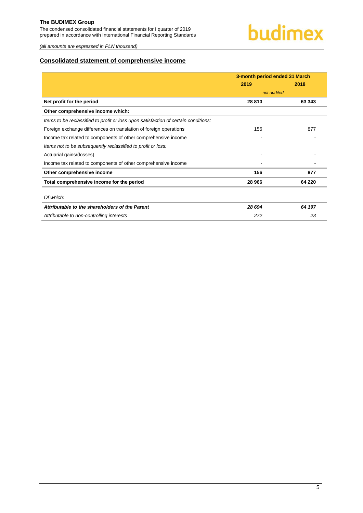The condensed consolidated financial statements for I quarter of 2019 prepared in accordance with International Financial Reporting Standards

*(all amounts are expressed in PLN thousand)*

# <span id="page-5-0"></span>**Consolidated statement of comprehensive income**

|                                                                                     | 3-month period ended 31 March |        |  |
|-------------------------------------------------------------------------------------|-------------------------------|--------|--|
|                                                                                     | 2019                          | 2018   |  |
|                                                                                     | not audited                   |        |  |
| Net profit for the period                                                           | 28 810                        | 63 343 |  |
| Other comprehensive income which:                                                   |                               |        |  |
| Items to be reclassified to profit or loss upon satisfaction of certain conditions: |                               |        |  |
| Foreign exchange differences on translation of foreign operations                   | 156                           | 877    |  |
| Income tax related to components of other comprehensive income                      |                               |        |  |
| Items not to be subsequently reclassified to profit or loss:                        |                               |        |  |
| Actuarial gains/(losses)                                                            |                               |        |  |
| Income tax related to components of other comprehensive income                      |                               |        |  |
| Other comprehensive income                                                          | 156                           | 877    |  |
| Total comprehensive income for the period                                           | 28 966                        | 64 220 |  |
|                                                                                     |                               |        |  |
| Of which:                                                                           |                               |        |  |
| Attributable to the shareholders of the Parent                                      | 28 694                        | 64 197 |  |
| Attributable to non-controlling interests                                           | 272                           | 23     |  |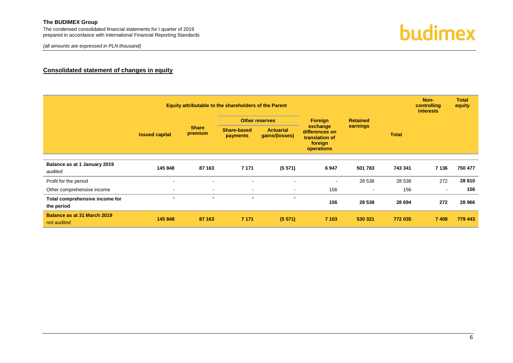The condensed consolidated financial statements for I quarter of 2019 prepared in accordance with International Financial Reporting Standards

*(all amounts are expressed in PLN thousand)*



# **Consolidated statement of changes in equity**

<span id="page-6-0"></span>

|                                              |                |                         | Equity attributable to the shareholders of the Parent |                                    |                                                                       |                 |          | Non-<br>controlling<br><i>interests</i> | <b>Total</b><br>equity |  |
|----------------------------------------------|----------------|-------------------------|-------------------------------------------------------|------------------------------------|-----------------------------------------------------------------------|-----------------|----------|-----------------------------------------|------------------------|--|
|                                              |                |                         | <b>Other reserves</b>                                 |                                    | <b>Foreign</b>                                                        | <b>Retained</b> |          |                                         |                        |  |
| <b>Issued capital</b>                        |                | <b>Share</b><br>premium | <b>Share-based</b><br><b>payments</b>                 | <b>Actuarial</b><br>gains/(losses) | exchange<br>differences on<br>translation of<br>foreign<br>operations |                 | earnings | <b>Total</b>                            |                        |  |
|                                              |                |                         |                                                       |                                    |                                                                       |                 |          |                                         |                        |  |
| Balance as at 1 January 2019<br>audited      | 145 848        | 87 163                  | 7 1 7 1                                               | (5571)                             | 6947                                                                  | 501 783         | 743 341  | 7 1 3 6                                 | 750 477                |  |
| Profit for the period                        | $\blacksquare$ | $\blacksquare$          | $\sim$                                                |                                    | $\blacksquare$                                                        | 28 538          | 28 538   | 272                                     | 28 810                 |  |
| Other comprehensive income                   | $\blacksquare$ | $\sim$                  | $\sim$                                                | $\blacksquare$                     | 156                                                                   | $\sim$          | 156      | $\overline{\phantom{a}}$                | 156                    |  |
| Total comprehensive income for<br>the period | $\blacksquare$ | $\blacksquare$          | $\blacksquare$                                        | $\blacksquare$                     | 156                                                                   | 28 538          | 28 694   | 272                                     | 28 966                 |  |
| Balance as at 31 March 2019<br>not audited   | 145 848        | 87 163                  | 7 1 7 1                                               | (5571)                             | 7 103                                                                 | 530 321         | 772 035  | 7 4 0 8                                 | 779 443                |  |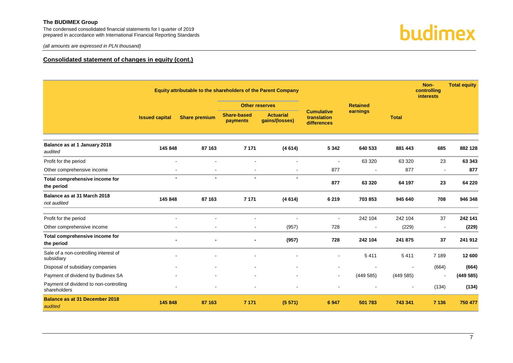The condensed consolidated financial statements for I quarter of 2019 prepared in accordance with International Financial Reporting Standards





# **Consolidated statement of changes in equity (cont.)**

|                                                        |                       |                      |                                | Equity attributable to the shareholders of the Parent Company |                                                 |                |                | Non-<br>controlling<br><b>interests</b> | <b>Total equity</b> |
|--------------------------------------------------------|-----------------------|----------------------|--------------------------------|---------------------------------------------------------------|-------------------------------------------------|----------------|----------------|-----------------------------------------|---------------------|
|                                                        |                       |                      | <b>Other reserves</b>          |                                                               | <b>Retained</b>                                 |                |                |                                         |                     |
|                                                        | <b>Issued capital</b> | <b>Share premium</b> | <b>Share-based</b><br>payments | <b>Actuarial</b><br>gains/(losses)                            | <b>Cumulative</b><br>translation<br>differences | earnings       | <b>Total</b>   |                                         |                     |
| Balance as at 1 January 2018<br>audited                | 145 848               | 87 163               | 7 1 7 1                        | (4614)                                                        | 5 3 4 2                                         | 640 533        | 881 443        | 685                                     | 882 128             |
| Profit for the period                                  | ä,                    | $\blacksquare$       | L,                             | $\blacksquare$                                                |                                                 | 63 320         | 63 320         | 23                                      | 63 343              |
| Other comprehensive income                             | $\blacksquare$        | $\blacksquare$       | $\sim$                         | $\blacksquare$                                                | 877                                             | $\blacksquare$ | 877            | $\sim$                                  | 877                 |
| Total comprehensive income for<br>the period           | $\blacksquare$        | $\blacksquare$       | $\overline{\phantom{0}}$       | $\blacksquare$                                                | 877                                             | 63 320         | 64 197         | 23                                      | 64 220              |
| Balance as at 31 March 2018<br>not audited             | 145 848               | 87 163               | 7 1 7 1                        | (4614)                                                        | 6 2 1 9                                         | 703 853        | 945 640        | 708                                     | 946 348             |
| Profit for the period                                  | $\blacksquare$        |                      | $\overline{a}$                 | $\blacksquare$                                                |                                                 | 242 104        | 242 104        | 37                                      | 242 141             |
| Other comprehensive income                             |                       |                      |                                | (957)                                                         | 728                                             | $\blacksquare$ | (229)          |                                         | (229)               |
| Total comprehensive income for<br>the period           |                       |                      |                                | (957)                                                         | 728                                             | 242 104        | 241 875        | 37                                      | 241 912             |
| Sale of a non-controlling interest of<br>subsidiary    |                       |                      |                                |                                                               |                                                 | 5411           | 5 4 1 1        | 7 1 8 9                                 | 12 600              |
| Disposal of subsidiary companies                       |                       |                      |                                |                                                               |                                                 |                | $\blacksquare$ | (664)                                   | (664)               |
| Payment of dividend by Budimex SA                      |                       |                      | $\blacksquare$                 |                                                               |                                                 | (449585)       | (449585)       |                                         | (449585)            |
| Payment of dividend to non-controlling<br>shareholders |                       |                      | $\blacksquare$                 |                                                               |                                                 |                | $\blacksquare$ | (134)                                   | (134)               |
| <b>Balance as at 31 December 2018</b><br>audited       | 145 848               | 87 163               | 7 1 7 1                        | (5571)                                                        | 6 9 4 7                                         | 501 783        | 743 341        | 7 1 3 6                                 | 750 477             |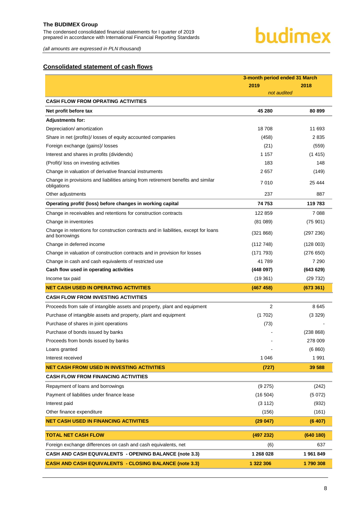The condensed consolidated financial statements for I quarter of 2019 prepared in accordance with International Financial Reporting Standards

# budimex

*(all amounts are expressed in PLN thousand)*

# <span id="page-8-0"></span>**Consolidated statement of cash flows**

|                                                                                                        | 3-month period ended 31 March |           |  |
|--------------------------------------------------------------------------------------------------------|-------------------------------|-----------|--|
|                                                                                                        | 2019                          | 2018      |  |
|                                                                                                        | not audited                   |           |  |
| <b>CASH FLOW FROM OPRATING ACTIVITIES</b>                                                              |                               |           |  |
| Net profit before tax                                                                                  | 45 280                        | 80899     |  |
| <b>Adjustments for:</b>                                                                                |                               |           |  |
| Depreciation/ amortization                                                                             | 18708                         | 11 693    |  |
| Share in net (profits)/ losses of equity accounted companies                                           | (458)                         | 2835      |  |
| Foreign exchange (gains)/ losses                                                                       | (21)                          | (559)     |  |
| Interest and shares in profits (dividends)                                                             | 1 1 5 7                       | (1415)    |  |
| (Profit)/ loss on investing activities                                                                 | 183                           | 148       |  |
| Change in valuation of derivative financial instruments                                                | 2657                          | (149)     |  |
| Change in provisions and liabilities arising from retirement benefits and similar<br>obligations       | 7010                          | 25 4 44   |  |
| Other adjustments                                                                                      | 237                           | 887       |  |
| Operating profit/ (loss) before changes in working capital                                             | 74 753                        | 119783    |  |
| Change in receivables and retentions for construction contracts                                        | 122859                        | 7088      |  |
| Change in inventories                                                                                  | (81089)                       | (75901)   |  |
| Change in retentions for construction contracts and in liabilities, except for loans<br>and borrowings | (321 868)                     | (297 236) |  |
| Change in deferred income                                                                              | (112748)                      | (128003)  |  |
| Change in valuation of construction contracts and in provision for losses                              | (171793)                      | (276650)  |  |
| Change in cash and cash equivalents of restricted use                                                  | 41789                         | 7 2 9 0   |  |
| Cash flow used in operating activities                                                                 | (448097)                      | (643629)  |  |
| Income tax paid                                                                                        | (19361)                       | (29732)   |  |
| <b>NET CASH USED IN OPERATING ACTIVITIES</b>                                                           | (467 458)                     | (673361)  |  |
| <b>CASH FLOW FROM INVESTING ACTIVITIES</b>                                                             |                               |           |  |
| Proceeds from sale of intangible assets and property, plant and equipment                              | $\overline{2}$                | 8645      |  |
| Purchase of intangible assets and property, plant and equipment                                        | (1702)                        | (3329)    |  |
| Purchase of shares in joint operations                                                                 | (73)                          |           |  |
| Purchase of bonds issued by banks                                                                      |                               | (238 868) |  |
| Proceeds from bonds issued by banks                                                                    |                               | 278 009   |  |
| Loans granted                                                                                          |                               | (6860)    |  |
| Interest received                                                                                      | 1 0 4 6                       | 1991      |  |
| <b>NET CASH FROM/ USED IN INVESTING ACTIVITIES</b>                                                     | (727)                         | 39 588    |  |
| <b>CASH FLOW FROM FINANCING ACTIVITIES</b>                                                             |                               |           |  |
| Repayment of loans and borrowings                                                                      | (9 275)                       | (242)     |  |
| Payment of liabilities under finance lease                                                             | (16 504)                      | (5072)    |  |
| Interest paid                                                                                          | (3 112)                       | (932)     |  |
| Other finance expenditure                                                                              | (156)                         | (161)     |  |
| <b>NET CASH USED IN FINANCING ACTIVITIES</b>                                                           | (29047)                       | (6407)    |  |
| <b>TOTAL NET CASH FLOW</b>                                                                             | (497 232)                     | (640 180) |  |
| Foreign exchange differences on cash and cash equivalents, net                                         | (6)                           | 637       |  |
| CASH AND CASH EQUIVALENTS - OPENING BALANCE (note 3.3)                                                 | 1 268 028                     | 1961849   |  |
| <b>CASH AND CASH EQUIVALENTS - CLOSING BALANCE (note 3.3)</b>                                          | 1 322 306                     | 1790308   |  |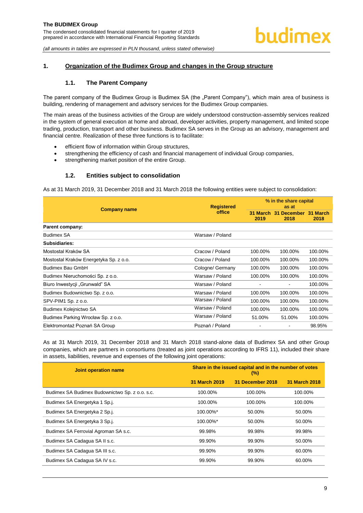# <span id="page-9-1"></span><span id="page-9-0"></span>**1. Organization of the Budimex Group and changes in the Group structure**

### **1.1. The Parent Company**

The parent company of the Budimex Group is Budimex SA (the "Parent Company"), which main area of business is building, rendering of management and advisory services for the Budimex Group companies.

The main areas of the business activities of the Group are widely understood construction-assembly services realized in the system of general execution at home and abroad, developer activities, property management, and limited scope trading, production, transport and other business. Budimex SA serves in the Group as an advisory, management and financial centre. Realization of these three functions is to facilitate:

- efficient flow of information within Group structures,
- strengthening the efficiency of cash and financial management of individual Group companies,
- strengthening market position of the entire Group.

### **1.2. Entities subject to consolidation**

<span id="page-9-2"></span>As at 31 March 2019, 31 December 2018 and 31 March 2018 the following entities were subject to consolidation:

|                                        | <b>Registered</b> | % in the share capital<br>as at |                                       |         |
|----------------------------------------|-------------------|---------------------------------|---------------------------------------|---------|
| <b>Company name</b>                    | office            | 2019                            | 31 March 31 December 31 March<br>2018 | 2018    |
| Parent company:                        |                   |                                 |                                       |         |
| <b>Budimex SA</b>                      | Warsaw / Poland   |                                 |                                       |         |
| Subsidiaries:                          |                   |                                 |                                       |         |
| Mostostal Kraków SA                    | Cracow / Poland   | 100.00%                         | 100.00%                               | 100.00% |
| Mostostal Kraków Energetyka Sp. z o.o. | Cracow / Poland   | 100.00%                         | 100.00%                               | 100.00% |
| Budimex Bau GmbH                       | Cologne/ Germany  | 100.00%                         | 100.00%                               | 100.00% |
| Budimex Nieruchomości Sp. z o.o.       | Warsaw / Poland   | 100.00%                         | 100.00%                               | 100.00% |
| Biuro Inwestycji "Grunwald" SA         | Warsaw / Poland   |                                 |                                       | 100.00% |
| Budimex Budownictwo Sp. z o.o.         | Warsaw / Poland   | 100.00%                         | 100.00%                               | 100.00% |
| SPV-PIM1 Sp. z o.o.                    | Warsaw / Poland   | 100.00%                         | 100.00%                               | 100.00% |
| Budimex Kolejnictwo SA                 | Warsaw / Poland   | 100.00%                         | 100.00%                               | 100.00% |
| Budimex Parking Wrocław Sp. z o.o.     | Warsaw / Poland   | 51.00%                          | 51.00%                                | 100.00% |
| Elektromontaż Poznań SA Group          | Poznań / Poland   |                                 |                                       | 98.95%  |

As at 31 March 2019, 31 December 2018 and 31 March 2018 stand-alone data of Budimex SA and other Group companies, which are partners in consortiums (treated as joint operations according to IFRS 11), included their share in assets, liabilities, revenue and expenses of the following joint operations:

| Joint operation name                           | Share in the issued capital and in the number of votes<br>$(\%)$ |                  |               |  |
|------------------------------------------------|------------------------------------------------------------------|------------------|---------------|--|
|                                                | 31 March 2019                                                    | 31 December 2018 | 31 March 2018 |  |
| Budimex SA Budimex Budownictwo Sp. z o.o. s.c. | 100.00%                                                          | 100.00%          | 100.00%       |  |
| Budimex SA Energetyka 1 Sp.j.                  | 100.00%                                                          | 100.00%          | 100.00%       |  |
| Budimex SA Energetyka 2 Sp.j.                  | $100.00\%$ <sup>*</sup>                                          | 50.00%           | 50.00%        |  |
| Budimex SA Energetyka 3 Sp.j.                  | $100.00\%$ <sup>*</sup>                                          | 50.00%           | 50.00%        |  |
| Budimex SA Ferrovial Agroman SA s.c.           | 99.98%                                                           | 99.98%           | 99.98%        |  |
| Budimex SA Cadagua SA II s.c.                  | 99.90%                                                           | 99.90%           | 50.00%        |  |
| Budimex SA Cadagua SA III s.c.                 | 99.90%                                                           | 99.90%           | 60.00%        |  |
| Budimex SA Cadagua SA IV s.c.                  | 99.90%                                                           | 99.90%           | 60.00%        |  |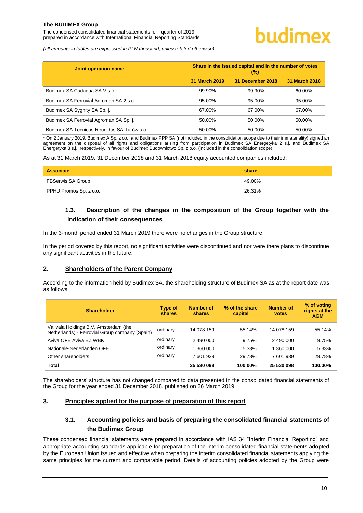The condensed consolidated financial statements for I quarter of 2019 prepared in accordance with International Financial Reporting Standards

*(all amounts in tables are expressed in PLN thousand, unless stated otherwise)*

| Joint operation name                       | Share in the issued capital and in the number of votes<br>$(\%)$ |                  |               |
|--------------------------------------------|------------------------------------------------------------------|------------------|---------------|
|                                            | 31 March 2019                                                    | 31 December 2018 | 31 March 2018 |
| Budimex SA Cadagua SA V s.c.               | 99.90%                                                           | 99.90%           | 60.00%        |
| Budimex SA Ferrovial Agroman SA 2 s.c.     | 95.00%                                                           | 95.00%           | 95.00%        |
| Budimex SA Sygnity SA Sp. j.               | 67.00%                                                           | 67.00%           | 67.00%        |
| Budimex SA Ferrovial Agroman SA Sp. j.     | 50.00%                                                           | 50.00%           | 50.00%        |
| Budimex SA Tecnicas Reunidas SA Turów s.c. | 50.00%                                                           | 50.00%           | 50.00%        |

\* On 2 January 2019, Budimex A Sp. z o.o. and Budimex PPP SA (not included in the consolidation scope due to their immateriality) signed an agreement on the disposal of all rights and obligations arising from participation in Budimex SA Energetyka 2 s.j. and Budimex SA Energetyka 3 s.j., respectively, in favour of Budimex Budownictwo Sp. z o.o. (included in the consolidation scope).

As at 31 March 2019, 31 December 2018 and 31 March 2018 equity accounted companies included:

| Associate                | share  |
|--------------------------|--------|
| <b>FBSerwis SA Group</b> | 49.00% |
| PPHU Promos Sp. z o.o.   | 26.31% |

# <span id="page-10-0"></span>**1.3. Description of the changes in the composition of the Group together with the indication of their consequences**

In the 3-month period ended 31 March 2019 there were no changes in the Group structure.

In the period covered by this report, no significant activities were discontinued and nor were there plans to discontinue any significant activities in the future.

#### <span id="page-10-1"></span>**2. Shareholders of the Parent Company**

According to the information held by Budimex SA, the shareholding structure of Budimex SA as at the report date was as follows:

| <b>Shareholder</b>                                                                      | Type of<br>shares | <b>Number of</b><br>shares | % of the share<br>capital | <b>Number of</b><br>votes | % of voting<br>rights at the<br><b>AGM</b> |
|-----------------------------------------------------------------------------------------|-------------------|----------------------------|---------------------------|---------------------------|--------------------------------------------|
| Valivala Holdings B.V. Amsterdam (the<br>Netherlands) - Ferrovial Group company (Spain) | ordinary          | 14 078 159                 | 55.14%                    | 14 078 159                | 55.14%                                     |
| Aviva OFE Aviva BZ WBK                                                                  | ordinary          | 2 490 000                  | 9.75%                     | 2 490 000                 | 9.75%                                      |
| Nationale-Nederlanden OFE                                                               | ordinary          | 1 360 000                  | 5.33%                     | 1 360 000                 | 5.33%                                      |
| Other shareholders                                                                      | ordinary          | 7 601 939                  | 29.78%                    | 7 601 939                 | 29.78%                                     |
| Total                                                                                   |                   | 25 530 098                 | 100.00%                   | 25 530 098                | 100.00%                                    |

The shareholders' structure has not changed compared to data presented in the consolidated financial statements of the Group for the year ended 31 December 2018, published on 26 March 2019.

#### <span id="page-10-3"></span><span id="page-10-2"></span>**3. Principles applied for the purpose of preparation of this report**

# **3.1. Accounting policies and basis of preparing the consolidated financial statements of the Budimex Group**

These condensed financial statements were prepared in accordance with IAS 34 "Interim Financial Reporting" and appropriate accounting standards applicable for preparation of the interim consolidated financial statements adopted by the European Union issued and effective when preparing the interim consolidated financial statements applying the same principles for the current and comparable period. Details of accounting policies adopted by the Group were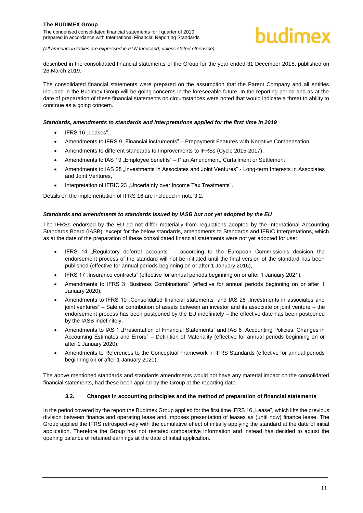described in the consolidated financial statements of the Group for the year ended 31 December 2018, published on 26 March 2019.

The consolidated financial statements were prepared on the assumption that the Parent Company and all entities included in the Budimex Group will be going concerns in the foreseeable future. In the reporting period and as at the date of preparation of these financial statements no circumstances were noted that would indicate a threat to ability to continue as a going concern.

#### *Standards, amendments to standards and interpretations applied for the first time in 2019*

- $IFRS 16  $\exists$  eases".$
- Amendments to IFRS 9 "Financial instruments" Prepayment Features with Negative Compensation,
- Amendments to different standards to Improvements to IFRSs (Cycle 2015-2017),
- Amendments to IAS 19 "Employee benefits" Plan Amendment, Curtailment or Settlement,
- Amendments to IAS 28 "Investments in Associates and Joint Ventures" Long-term Interests in Associates and Joint Ventures,
- Interpretation of IFRIC 23 "Uncertainty over Income Tax Treatments".

Details on the implementation of IFRS 16 are included in note [3.2.](#page-11-0)

#### *Standards and amendments to standards issued by IASB but not yet adopted by the EU*

The IFRSs endorsed by the EU do not differ materially from regulations adopted by the International Accounting Standards Board (IASB), except for the below standards, amendments to Standards and IFRIC Interpretations, which as at the date of the preparation of these consolidated financial statements were not yet adopted for use:

- IFRS 14 "Regulatory deferral accounts" according to the European Commission's decision the endorsement process of the standard will not be initiated until the final version of the standard has been published (effective for annual periods beginning on or after 1 January 2016),
- IFRS 17 "Insurance contracts" (effective for annual periods beginning on or after 1 January 2021),
- Amendments to IFRS 3 .Business Combinations" (effective for annual periods beginning on or after 1 January 2020),
- Amendments to IFRS 10 "Consolidated financial statements" and IAS 28 "Investments in associates and joint ventures" – Sale or contribution of assets between an investor and its associate or joint venture – the endorsement process has been postponed by the EU indefinitely – the effective date has been postponed by the IASB indefinitely,
- Amendments to IAS 1 "Presentation of Financial Statements" and IAS 8 "Accounting Policies, Changes in Accounting Estimates and Errors" – Definition of Materiality (effective for annual periods beginning on or after 1 January 2020),
- Amendments to References to the Conceptual Framework in IFRS Standards (effective for annual periods beginning on or after 1 January 2020).

The above mentioned standards and standards amendments would not have any material impact on the consolidated financial statements, had these been applied by the Group at the reporting date.

#### **3.2. Changes in accounting principles and the method of preparation of financial statements**

<span id="page-11-0"></span>In the period covered by the report the Budimex Group applied for the first time IFRS 16 "Lease", which lifts the previous division between finance and operating lease and imposes presentation of leases as (until now) finance lease. The Group applied the IFRS retrospectively with the cumulative effect of initially applying the standard at the date of initial application. Therefore the Group has not restated comparative information and instead has decided to adjust the opening balance of retained earnings at the date of initial application.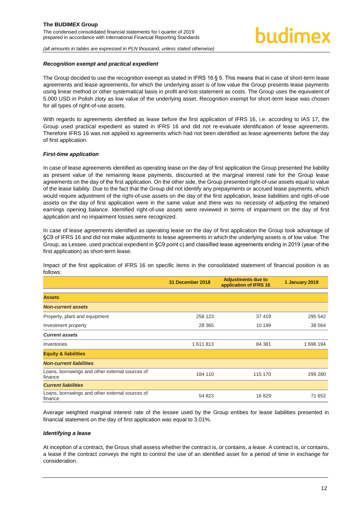#### *Recognition exempt and practical expedient*

The Group decided to use the recognition exempt as stated in IFRS 16 § 5. This means that in case of short-term lease agreements and lease agreements, for which the underlying asset is of low value the Group presents lease payments using linear method or other systematical basis in profit and lost statement as costs. The Group uses the equivalent of 5.000 USD in Polish zloty as low value of the underlying asset. Recognition exempt for short-term lease was chosen for all types of right-of-use assets.

With regards to agreements identified as lease before the first application of IFRS 16, i.e. according to IAS 17, the Group used practical expedient as stated in IFRS 16 and did not re-evaluate identification of lease agreements. Therefore IFRS 16 was not applied to agreements which had not been identified as lease agreements before the day of first application.

#### *First-time application*

In case of lease agreements identified as operating lease on the day of first application the Group presented the liability as present value of the remaining lease payments, discounted at the marginal interest rate for the Group lease agreements on the day of the first application. On the other side, the Group presented right-of-use assets equal to value of the lease liability. Due to the fact that the Group did not identify any prepayments or accrued lease payments, which would require adjustment of the right-of-use assets on the day of the first application, lease liabilities and right-of-use assets on the day of first application were in the same value and there was no necessity of adjusting the retained earnings opening balance. Identified right-of-use assets were reviewed in terms of impairment on the day of first application and no impairment losses were recognized.

In case of lease agreements identified as operating lease on the day of first application the Group took advantage of §C9 of IFRS 16 and did not make adjustments to lease agreements in which the underlying assets is of low value. The Group, as Lessee, used practical expedient in §C9 point c) and classified lease agreements ending in 2019 (year of the first application) as short-term lease.

Impact of the first application of IFRS 16 on specific items in the consolidated statement of financial position is as follows:

|                                                            | 31 December 2018 | <b>Adjustments due to</b><br>application of IFRS 16 | 1 January 2019 |
|------------------------------------------------------------|------------------|-----------------------------------------------------|----------------|
| <b>Assets</b>                                              |                  |                                                     |                |
| <b>Non-current assets</b>                                  |                  |                                                     |                |
| Property, plant and equipment                              | 258 123          | 37419                                               | 295 542        |
| Investment property                                        | 28 3 65          | 10 199                                              | 38 5 64        |
| <b>Current assets</b>                                      |                  |                                                     |                |
| Inventories                                                | 1611813          | 84 381                                              | 1 696 194      |
| <b>Equity &amp; liabilities</b>                            |                  |                                                     |                |
| <b>Non-current liabilities</b>                             |                  |                                                     |                |
| Loans, borrowings and other external sources of<br>finance | 184 110          | 115 170                                             | 299 280        |
| <b>Current liabilities</b>                                 |                  |                                                     |                |
| Loans, borrowings and other external sources of<br>finance | 54 823           | 16829                                               | 71 652         |

Average weighted marginal interest rate of the lessee used by the Group entities for lease liabilities presented in financial statement on the day of first application was equal to 3.01%.

#### *Identifying a lease*

At inception of a contract, the Grous shall assess whether the contract is, or contains, a lease. A contract is, or contains, a lease if the contract conveys the right to control the use of an identified asset for a period of time in exchange for consideration.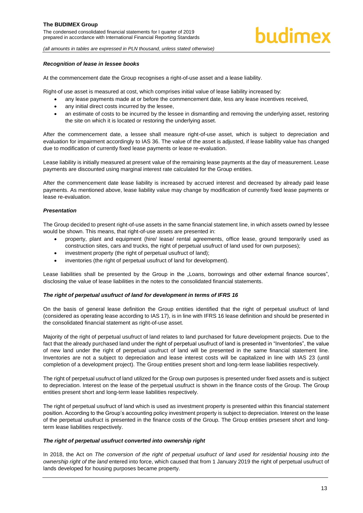#### *Recognition of lease in lessee books*

At the commencement date the Group recognises a right-of-use asset and a lease liability.

Right-of use asset is measured at cost, which comprises initial value of lease liability increased by:

- any lease payments made at or before the commencement date, less any lease incentives received,
- any initial direct costs incurred by the lessee,
- an estimate of costs to be incurred by the lessee in dismantling and removing the underlying asset, restoring the site on which it is located or restoring the underlying asset.

After the commencement date, a lessee shall measure right-of-use asset, which is subject to depreciation and evaluation for impairment accordingly to IAS 36. The value of the asset is adjusted, if lease liability value has changed due to modification of currently fixed lease payments or lease re-evaluation.

Lease liability is initially measured at present value of the remaining lease payments at the day of measurement. Lease payments are discounted using marginal interest rate calculated for the Group entities.

After the commencement date lease liability is increased by accrued interest and decreased by already paid lease payments. As mentioned above, lease liability value may change by modification of currently fixed lease payments or lease re-evaluation.

#### *Presentation*

The Group decided to present right-of-use assets in the same financial statement line, in which assets owned by lessee would be shown. This means, that right-of-use assets are presented in:

- property, plant and equipment (hire/ lease/ rental agreements, office lease, ground temporarily used as construction sites, cars and trucks, the right of perpetual usufruct of land used for own purposes);
- investment property (the right of perpetual usufruct of land):
- inventories (the right of perpetual usufruct of land for development).

Lease liabilities shall be presented by the Group in the "Loans, borrowings and other external finance sources", disclosing the value of lease liabilities in the notes to the consolidated financial statements.

#### *The right of perpetual usufruct of land for development in terms of IFRS 16*

On the basis of general lease definition the Group entities identified that the right of perpetual usufruct of land (considered as operating lease according to IAS 17), is in line with IFRS 16 lease definition and should be presented in the consolidated financial statement as right-of-use asset.

Majority of the right of perpetual usufruct of land relates to land purchased for future development projects. Due to the fact that the already purchased land under the right of perpetual usufruct of land is presented in "Inventories", the value of new land under the right of perpetual usufruct of land will be presented in the same financial statement line. Inventories are not a subject to depreciation and lease interest costs will be capitalized in line with IAS 23 (until completion of a development project). The Group entities present short and long-term lease liabilities respectively.

The right of perpetual usufruct of land utilized for the Group own purposes is presented under fixed assets and is subject to depreciation. Interest on the lease of the perpetual usufruct is shown in the finance costs of the Group. The Group entities present short and long-term lease liabilities respectively.

The right of perpetual usufruct of land which is used as investment property is presented within this financial statement position. According to the Group's accounting policy investment property is subject to depreciation. Interest on the lease of the perpetual usufruct is presented in the finance costs of the Group. The Group entities prsesent short and longterm lease liabilities respectively.

#### *The right of perpetual usufruct converted into ownership right*

In 2018, the Act on *The conversion of the right of perpetual usufruct of land used for residential housing into the ownership right of the land* entered into force, which caused that from 1 January 2019 the right of perpetual usufruct of lands developed for housing purposes became property.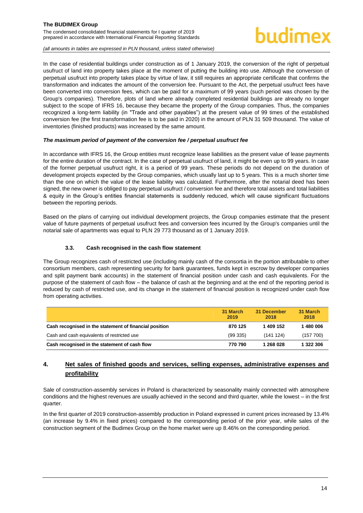# uudimex

*(all amounts in tables are expressed in PLN thousand, unless stated otherwise)*

In the case of residential buildings under construction as of 1 January 2019, the conversion of the right of perpetual usufruct of land into property takes place at the moment of putting the building into use. Although the conversion of perpetual usufruct into property takes place by virtue of law, it still requires an appropriate certificate that confirms the transformation and indicates the amount of the conversion fee. Pursuant to the Act, the perpetual usufruct fees have been converted into conversion fees, which can be paid for a maximum of 99 years (such period was chosen by the Group's companies). Therefore, plots of land where already completed residential buildings are already no longer subject to the scope of IFRS 16, because they became the property of the Group companies. Thus, the companies recognized a long-term liability (in "Trade and other payables") at the present value of 99 times of the established conversion fee (the first transformation fee is to be paid in 2020) in the amount of PLN 31 509 thousand. The value of inventories (finished products) was increased by the same amount.

### *The maximum period of payment of the conversion fee / perpetual usufruct fee*

In accordance with IFRS 16, the Group entities must recognize lease liabilities as the present value of lease payments for the entire duration of the contract. In the case of perpetual usufruct of land, it might be even up to 99 years. In case of the former perpetual usufruct right, it is a period of 99 years. These periods do not depend on the duration of development projects expected by the Group companies, which usually last up to 5 years. This is a much shorter time than the one on which the value of the lease liability was calculated. Furthermore, after the notarial deed has been signed, the new owner is obliged to pay perpetual usufruct / conversion fee and therefore total assets and total liabilities & equity in the Group's entities financial statements is suddenly reduced, which will cause significant fluctuations between the reporting periods.

Based on the plans of carrying out individual development projects, the Group companies estimate that the present value of future payments of perpetual usufruct fees and conversion fees incurred by the Group's companies until the notarial sale of apartments was equal to PLN 29 773 thousand as of 1 January 2019.

### **3.3. Cash recognised in the cash flow statement**

<span id="page-14-0"></span>The Group recognizes cash of restricted use (including mainly cash of the consortia in the portion attributable to other consortium members, cash representing security for bank guarantees, funds kept in escrow by developer companies and split payment bank accounts) in the statement of financial position under cash and cash equivalents. For the purpose of the statement of cash flow – the balance of cash at the beginning and at the end of the reporting period is reduced by cash of restricted use, and its change in the statement of financial position is recognized under cash flow from operating activities.

|                                                        | 31 March<br>2019 | 31 December<br>2018 | 31 March<br>2018 |
|--------------------------------------------------------|------------------|---------------------|------------------|
| Cash recognised in the statement of financial position | 870 125          | 1409 152            | 1480006          |
| Cash and cash equivalents of restricted use            | (99335)          | (141124)            | (157 700)        |
| Cash recognised in the statement of cash flow          | 770 790          | 1 268 028           | 1 322 306        |

# <span id="page-14-1"></span>**4. Net sales of finished goods and services, selling expenses, administrative expenses and profitability**

Sale of construction-assembly services in Poland is characterized by seasonality mainly connected with atmosphere conditions and the highest revenues are usually achieved in the second and third quarter, while the lowest – in the first quarter.

In the first quarter of 2019 construction-assembly production in Poland expressed in current prices increased by 13.4% (an increase by 9.4% in fixed prices) compared to the corresponding period of the prior year, while sales of the construction segment of the Budimex Group on the home market were up 8.46% on the corresponding period.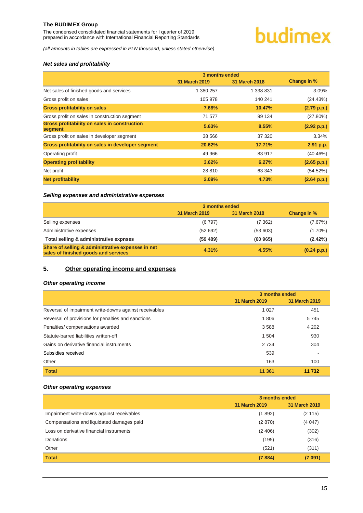The condensed consolidated financial statements for I quarter of 2019 prepared in accordance with International Financial Reporting Standards

# **budimex**

*(all amounts in tables are expressed in PLN thousand, unless stated otherwise)*

# *Net sales and profitability*

|                                                                | 3 months ended |                      |             |
|----------------------------------------------------------------|----------------|----------------------|-------------|
|                                                                | 31 March 2019  | <b>31 March 2018</b> | Change in % |
| Net sales of finished goods and services                       | 1 380 257      | 1 338 831            | 3.09%       |
| Gross profit on sales                                          | 105 978        | 140 241              | (24.43%)    |
| <b>Gross profitability on sales</b>                            | 7.68%          | 10.47%               | (2.79 p.p.) |
| Gross profit on sales in construction segment                  | 71 577         | 99 134               | $(27.80\%)$ |
| <b>Gross profitability on sales in construction</b><br>segment | 5.63%          | 8.55%                | (2.92 p.p.) |
| Gross profit on sales in developer segment                     | 38 566         | 37 320               | 3.34%       |
| Gross profitability on sales in developer segment              | 20.62%         | 17.71%               | 2.91 p.p.   |
| Operating profit                                               | 49 966         | 83 917               | (40.46%)    |
| <b>Operating profitability</b>                                 | 3.62%          | 6.27%                | (2.65 p.p.) |
| Net profit                                                     | 28 8 10        | 63 343               | (54.52%)    |
| <b>Net profitability</b>                                       | 2.09%          | 4.73%                | (2.64 p.p.) |

#### *Selling expenses and administrative expenses*

|                                                                                           | 3 months ended |               |             |
|-------------------------------------------------------------------------------------------|----------------|---------------|-------------|
|                                                                                           | 31 March 2019  | 31 March 2018 | Change in % |
| Selling expenses                                                                          | (6797)         | (7362)        | (7.67%)     |
| Administrative expenses                                                                   | (52692)        | (53603)       | $(1.70\%)$  |
| Total selling & administrative expnses                                                    | (59 489)       | (60965)       | (2.42%)     |
| Share of selling & administrative expenses in net<br>sales of finished goods and services | 4.31%          | 4.55%         | (0.24 p.p.) |

# <span id="page-15-0"></span>**5. Other operating income and expenses**

### *Other operating income*

|                                                        | 3 months ended |               |  |
|--------------------------------------------------------|----------------|---------------|--|
|                                                        | 31 March 2019  | 31 March 2019 |  |
| Reversal of impairment write-downs against receivables | 1 0 2 7        | 451           |  |
| Reversal of provisions for penalties and sanctions     | 1806           | 5745          |  |
| Penalties/compensations awarded                        | 3588           | 4 202         |  |
| Statute-barred liabilities written-off                 | 1 504          | 930           |  |
| Gains on derivative financial instruments              | 2 7 3 4        | 304           |  |
| Subsidies received                                     | 539            |               |  |
| Other                                                  | 163            | 100           |  |
| <b>Total</b>                                           | 11 361         | 11 732        |  |

#### *Other operating expenses*

|                                            | 3 months ended |               |  |
|--------------------------------------------|----------------|---------------|--|
|                                            | 31 March 2019  | 31 March 2019 |  |
| Impairment write-downs against receivables | (1892)         | (2115)        |  |
| Compensations and liquidated damages paid  | (2870)         | (4047)        |  |
| Loss on derivative financial instruments   | (2406)         | (302)         |  |
| Donations                                  | (195)          | (316)         |  |
| Other                                      | (521)          | (311)         |  |
| <b>Total</b>                               | (7884)         | (7091)        |  |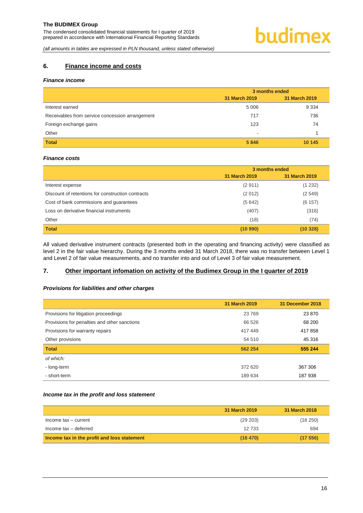# <span id="page-16-0"></span>**6. Finance income and costs**

#### *Finance income*

|                                                 | 3 months ended |               |  |
|-------------------------------------------------|----------------|---------------|--|
|                                                 | 31 March 2019  | 31 March 2019 |  |
| Interest earned                                 | 5 0 0 6        | 9 3 3 4       |  |
| Receivables from service concession arrangement | 717            | 736           |  |
| Foreign exchange gains                          | 123            | 74            |  |
| Other                                           | -              |               |  |
| <b>Total</b>                                    | 5846           | 10 145        |  |

#### *Finance costs*

|                                                   | 3 months ended       |               |  |
|---------------------------------------------------|----------------------|---------------|--|
|                                                   | <b>31 March 2019</b> | 31 March 2019 |  |
| Interest expense                                  | (2911)               | (1 232)       |  |
| Discount of retentions for construction contracts | (2012)               | (2549)        |  |
| Cost of bank commissions and guarantees           | (5642)               | (6157)        |  |
| Loss on derivative financial instruments          | (407)                | (316)         |  |
| Other                                             | (18)                 | (74)          |  |
| <b>Total</b>                                      | (10990)              | (10328)       |  |

All valued derivative instrument contracts (presented both in the operating and financing activity) were classified as level 2 in the fair value hierarchy. During the 3 months ended 31 March 2018, there was no transfer between Level 1 and Level 2 of fair value measurements, and no transfer into and out of Level 3 of fair value measurement.

# <span id="page-16-1"></span>**7. Other important infomation on activity of the Budimex Group in the I quarter of 2019**

#### *Provisions for liabilities and other charges*

|                                              | 31 March 2019 | 31 December 2018 |
|----------------------------------------------|---------------|------------------|
| Provisions for litigation proceedings        | 23 7 69       | 23 870           |
| Provisions for penalties and other sanctions | 66 526        | 68 200           |
| Provisions for warranty repairs              | 417449        | 417858           |
| Other provisions                             | 54 510        | 45 316           |
| <b>Total</b>                                 | 562 254       | 555 244          |
| of which:                                    |               |                  |
| - long-term                                  | 372 620       | 367 306          |
| - short-term                                 | 189 634       | 187938           |

#### *Income tax in the profit and loss statement*

|                                             | 31 March 2019 | 31 March 2018 |
|---------------------------------------------|---------------|---------------|
| Income tax - current                        | (29 203)      | (18250)       |
| Income tax - deferred                       | 12 733        | 694           |
| Income tax in the profit and loss statement | (16, 470)     | (17556)       |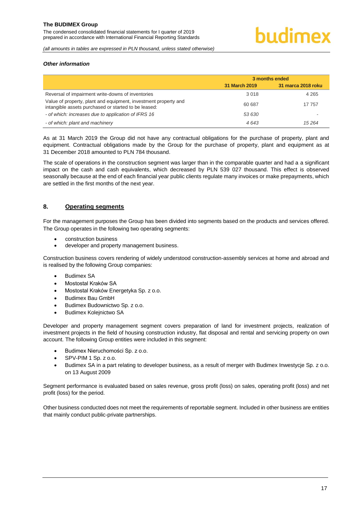#### *Other information*

|                                                                                                                         | 3 months ended |                    |
|-------------------------------------------------------------------------------------------------------------------------|----------------|--------------------|
|                                                                                                                         | 31 March 2019  | 31 marca 2018 roku |
| Reversal of impairment write-downs of inventories                                                                       | 3 0 1 8        | 4 2 6 5            |
| Value of property, plant and equipment, investment property and<br>intangible assets purchased or started to be leased: | 60 687         | 17 757             |
| - of which: increases due to application of IFRS 16                                                                     | 53 630         |                    |
| - of which: plant and machinery                                                                                         | 4643           | 15 2 64            |

As at 31 March 2019 the Group did not have any contractual obligations for the purchase of property, plant and equipment. Contractual obligations made by the Group for the purchase of property, plant and equipment as at 31 December 2018 amounted to PLN 784 thousand.

The scale of operations in the construction segment was larger than in the comparable quarter and had a a significant impact on the cash and cash equivalents, which decreased by PLN 539 027 thousand. This effect is observed seasonally because at the end of each financial year public clients regulate many invoices or make prepayments, which are settled in the first months of the next year.

#### <span id="page-17-0"></span>**8. Operating segments**

For the management purposes the Group has been divided into segments based on the products and services offered. The Group operates in the following two operating segments:

- construction business
- developer and property management business.

Construction business covers rendering of widely understood construction-assembly services at home and abroad and is realised by the following Group companies:

- Budimex SA
- Mostostal Kraków SA
- Mostostal Kraków Energetyka Sp. z o.o.
- Budimex Bau GmbH
- Budimex Budownictwo Sp. z o.o.
- Budimex Kolejnictwo SA

Developer and property management segment covers preparation of land for investment projects, realization of investment projects in the field of housing construction industry, flat disposal and rental and servicing property on own account. The following Group entities were included in this segment:

- Budimex Nieruchomości Sp. z o.o.
- SPV-PIM 1 Sp. z o.o.
- Budimex SA in a part relating to developer business, as a result of merger with Budimex Inwestycje Sp. z o.o. on 13 August 2009

Segment performance is evaluated based on sales revenue, gross profit (loss) on sales, operating profit (loss) and net profit (loss) for the period.

Other business conducted does not meet the requirements of reportable segment. Included in other business are entities that mainly conduct public-private partnerships.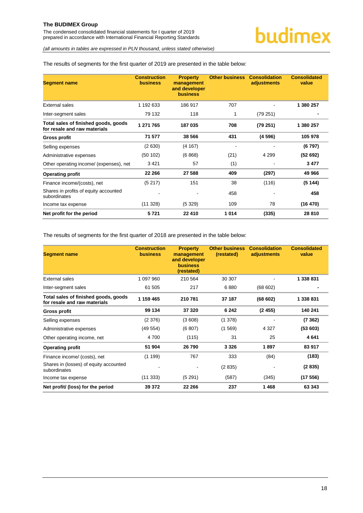The condensed consolidated financial statements for I quarter of 2019 prepared in accordance with International Financial Reporting Standards

*(all amounts in tables are expressed in PLN thousand, unless stated otherwise)*

### The results of segments for the first quarter of 2019 are presented in the table below:

| <b>Segment name</b>                                                  | <b>Construction</b><br><b>business</b> | <b>Property</b><br>management<br>and developer<br><b>business</b> | <b>Other business</b> | <b>Consolidation</b><br>adjustments | <b>Consolidated</b><br>value |
|----------------------------------------------------------------------|----------------------------------------|-------------------------------------------------------------------|-----------------------|-------------------------------------|------------------------------|
| External sales                                                       | 1 192 633                              | 186 917                                                           | 707                   |                                     | 1 380 257                    |
| Inter-segment sales                                                  | 79 132                                 | 118                                                               | 1                     | (79 251)                            |                              |
| Total sales of finished goods, goods<br>for resale and raw materials | 1 271 765                              | 187 035                                                           | 708                   | (79 251)                            | 1 380 257                    |
| <b>Gross profit</b>                                                  | 71 577                                 | 38 566                                                            | 431                   | (4596)                              | 105 978                      |
| Selling expenses                                                     | (2630)                                 | (4167)                                                            |                       |                                     | (6797)                       |
| Administrative expenses                                              | (50102)                                | (6868)                                                            | (21)                  | 4 2 9 9                             | (52692)                      |
| Other operating income/ (expenses), net                              | 3421                                   | 57                                                                | (1)                   |                                     | 3477                         |
| <b>Operating profit</b>                                              | 22 266                                 | 27 588                                                            | 409                   | (297)                               | 49 966                       |
| Finance income/(costs), net                                          | (5217)                                 | 151                                                               | 38                    | (116)                               | (5144)                       |
| Shares in profits of equity accounted<br>subordinates                |                                        |                                                                   | 458                   |                                     | 458                          |
| Income tax expense                                                   | (11328)                                | (5329)                                                            | 109                   | 78                                  | (16 470)                     |
| Net profit for the period                                            | 5721                                   | 22 410                                                            | 1014                  | (335)                               | 28 810                       |

The results of segments for the first quarter of 2018 are presented in the table below:

<span id="page-18-0"></span>

| <b>Segment name</b>                                                  | <b>Construction</b><br><b>business</b> | <b>Property</b><br>management<br>and developer<br><b>business</b><br>(restated) | <b>Other business</b><br>(restated) | <b>Consolidation</b><br>adjustments | <b>Consolidated</b><br>value |
|----------------------------------------------------------------------|----------------------------------------|---------------------------------------------------------------------------------|-------------------------------------|-------------------------------------|------------------------------|
| External sales                                                       | 1 097 960                              | 210 564                                                                         | 30 30 7                             |                                     | 1 338 831                    |
| Inter-segment sales                                                  | 61 505                                 | 217                                                                             | 6880                                | (68602)                             |                              |
| Total sales of finished goods, goods<br>for resale and raw materials | 1 159 465                              | 210 781                                                                         | 37 187                              | (68602)                             | 1 338 831                    |
| <b>Gross profit</b>                                                  | 99 134                                 | 37 320                                                                          | 6 2 4 2                             | (2455)                              | 140 241                      |
| Selling expenses                                                     | (2376)                                 | (3608)                                                                          | (1378)                              |                                     | (7362)                       |
| Administrative expenses                                              | (49554)                                | (6807)                                                                          | (1569)                              | 4 3 2 7                             | (53603)                      |
| Other operating income, net                                          | 4700                                   | (115)                                                                           | 31                                  | 25                                  | 4641                         |
| <b>Operating profit</b>                                              | 51 904                                 | 26 790                                                                          | 3 3 2 6                             | 1897                                | 83 917                       |
| Finance income/ (costs), net                                         | (1199)                                 | 767                                                                             | 333                                 | (84)                                | (183)                        |
| Shares in (losses) of equity accounted<br>subordinates               |                                        |                                                                                 | (2835)                              |                                     | (2835)                       |
| Income tax expense                                                   | (11333)                                | (5291)                                                                          | (587)                               | (345)                               | (17556)                      |
| Net profit/ (loss) for the period                                    | 39 372                                 | 22 266                                                                          | 237                                 | 1468                                | 63 343                       |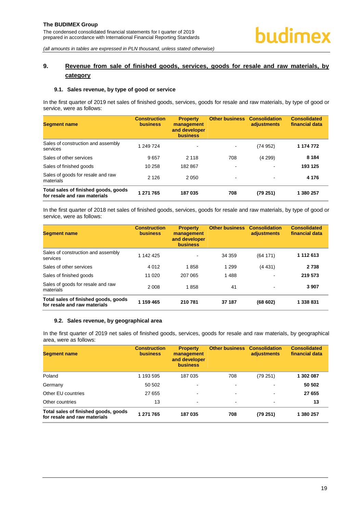# **9. Revenue from sale of finished goods, services, goods for resale and raw materials, by category**

#### <span id="page-19-0"></span>**9.1. Sales revenue, by type of good or service**

In the first quarter of 2019 net sales of finished goods, services, goods for resale and raw materials, by type of good or service, were as follows:

| <b>Segment name</b>                                                  | <b>Construction</b><br><b>business</b> | <b>Property</b><br>management<br>and developer<br><b>business</b> | <b>Other business</b>    | <b>Consolidation</b><br>adjustments | <b>Consolidated</b><br>financial data |
|----------------------------------------------------------------------|----------------------------------------|-------------------------------------------------------------------|--------------------------|-------------------------------------|---------------------------------------|
| Sales of construction and assembly<br>services                       | 1 249 724                              | $\blacksquare$                                                    | $\blacksquare$           | (74952)                             | 1 174 772                             |
| Sales of other services                                              | 9657                                   | 2 1 1 8                                                           | 708                      | (4299)                              | 8 1 8 4                               |
| Sales of finished goods                                              | 10 258                                 | 182 867                                                           | $\overline{\phantom{a}}$ | $\blacksquare$                      | 193 125                               |
| Sales of goods for resale and raw<br>materials                       | 2 1 2 6                                | 2 0 5 0                                                           | $\,$                     | $\,$                                | 4 1 7 6                               |
| Total sales of finished goods, goods<br>for resale and raw materials | 1 271 765                              | 187 035                                                           | 708                      | (79 251)                            | 1 380 257                             |

In the first quarter of 2018 net sales of finished goods, services, goods for resale and raw materials, by type of good or service, were as follows:

| <b>Segment name</b>                                                  | <b>Construction</b><br><b>business</b> | <b>Property</b><br>management<br>and developer<br><b>business</b> | <b>Other business</b> | <b>Consolidation</b><br>adjustments | <b>Consolidated</b><br>financial data |
|----------------------------------------------------------------------|----------------------------------------|-------------------------------------------------------------------|-----------------------|-------------------------------------|---------------------------------------|
| Sales of construction and assembly<br>services                       | 1 142 425                              | $\overline{\phantom{a}}$                                          | 34 359                | (64171)                             | 1 112 613                             |
| Sales of other services                                              | 4 0 1 2                                | 1858                                                              | 1 2 9 9               | (4431)                              | 2 7 3 8                               |
| Sales of finished goods                                              | 11 0 20                                | 207 065                                                           | 1488                  | $\,$                                | 219 573                               |
| Sales of goods for resale and raw<br>materials                       | 2008                                   | 1858                                                              | 41                    | $\blacksquare$                      | 3 9 0 7                               |
| Total sales of finished goods, goods<br>for resale and raw materials | 1 159 465                              | 210 781                                                           | 37 187                | (68602)                             | 1 338 831                             |

#### <span id="page-19-1"></span>**9.2. Sales revenue, by geographical area**

In the first quarter of 2019 net sales of finished goods, services, goods for resale and raw materials, by geographical area, were as follows:

| <b>Segment name</b>                                                  | <b>Construction</b><br><b>business</b> | <b>Property</b><br>management<br>and developer<br><b>business</b> | <b>Other business</b>    | <b>Consolidation</b><br>adjustments | <b>Consolidated</b><br>financial data |
|----------------------------------------------------------------------|----------------------------------------|-------------------------------------------------------------------|--------------------------|-------------------------------------|---------------------------------------|
| Poland                                                               | 1 193 595                              | 187 035                                                           | 708                      | (79 251)                            | 1 302 087                             |
| Germany                                                              | 50 502                                 | $\,$                                                              | $\overline{\phantom{a}}$ | $\blacksquare$                      | 50 502                                |
| Other EU countries                                                   | 27 655                                 | $\blacksquare$                                                    | $\blacksquare$           | $\blacksquare$                      | 27 655                                |
| Other countries                                                      | 13                                     | ٠                                                                 | $\,$                     | $\,$                                | 13                                    |
| Total sales of finished goods, goods<br>for resale and raw materials | 1 271 765                              | 187 035                                                           | 708                      | (79 251)                            | 1 380 257                             |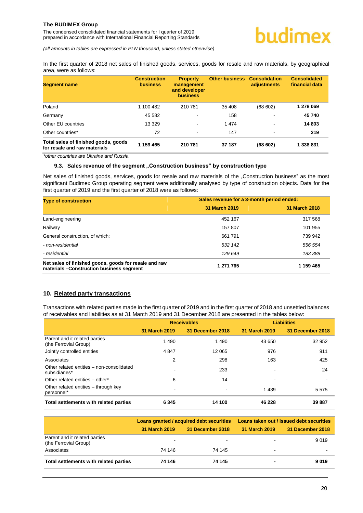In the first quarter of 2018 net sales of finished goods, services, goods for resale and raw materials, by geographical area, were as follows:

| <b>Segment name</b>                                                  | <b>Construction</b><br><b>business</b> | <b>Property</b><br>management<br>and developer<br><b>business</b> | <b>Other business</b> | <b>Consolidation</b><br>adjustments | <b>Consolidated</b><br>financial data |
|----------------------------------------------------------------------|----------------------------------------|-------------------------------------------------------------------|-----------------------|-------------------------------------|---------------------------------------|
| Poland                                                               | 1 100 482                              | 210 781                                                           | 35 408                | (68602)                             | 1 278 069                             |
| Germany                                                              | 45 582                                 | $\overline{\phantom{a}}$                                          | 158                   | ٠                                   | 45 740                                |
| Other EU countries                                                   | 13 3 29                                | $\blacksquare$                                                    | 1474                  | $\overline{\phantom{a}}$            | 14 803                                |
| Other countries*                                                     | 72                                     | $\blacksquare$                                                    | 147                   | $\blacksquare$                      | 219                                   |
| Total sales of finished goods, goods<br>for resale and raw materials | 1 159 465                              | 210 781                                                           | 37 187                | (68602)                             | 1 338 831                             |

<span id="page-20-0"></span>*\*other countries are Ukraine and Russia* 

#### **9.3. Sales revenue of the segment "Construction business" by construction type**

Net sales of finished goods, services, goods for resale and raw materials of the "Construction business" as the most significant Budimex Group operating segment were additionally analysed by type of construction objects. Data for the first quarter of 2019 and the first quarter of 2018 were as follows:

| <b>Type of construction</b>                                                                       | Sales revenue for a 3-month period ended: |               |  |
|---------------------------------------------------------------------------------------------------|-------------------------------------------|---------------|--|
|                                                                                                   | 31 March 2019                             | 31 March 2018 |  |
| Land-engineering                                                                                  | 452 167                                   | 317 568       |  |
| Railway                                                                                           | 157 807                                   | 101 955       |  |
| General construction, of which:                                                                   | 661791                                    | 739 942       |  |
| - non-residential                                                                                 | 532 142                                   | 556 554       |  |
| - residential                                                                                     | 129 649                                   | 183 388       |  |
| Net sales of finished goods, goods for resale and raw<br>materials -Construction business segment | 1 271 765                                 | 1 159 465     |  |

#### <span id="page-20-1"></span>**10. Related party transactions**

Transactions with related parties made in the first quarter of 2019 and in the first quarter of 2018 and unsettled balances of receivables and liabilities as at 31 March 2019 and 31 December 2018 are presented in the tables below:

|                                                            |               | <b>Receivables</b> | <b>Liabilities</b> |                  |
|------------------------------------------------------------|---------------|--------------------|--------------------|------------------|
|                                                            | 31 March 2019 | 31 December 2018   | 31 March 2019      | 31 December 2018 |
| Parent and it related parties<br>(the Ferrovial Group)     | 1 4 9 0       | 1 4 9 0            | 43 650             | 32 952           |
| Jointly controlled entities                                | 4 8 4 7       | 12 065             | 976                | 911              |
| Associates                                                 | 2             | 298                | 163                | 425              |
| Other related entities - non-consolidated<br>subsidiaries* |               | 233                |                    | 24               |
| Other related entities - other*                            | 6             | 14                 |                    |                  |
| Other related entities – through key<br>personnel*         |               |                    | 1 4 3 9            | 5 5 7 5          |
| Total settlements with related parties                     | 6 3 4 5       | 14 100             | 46 228             | 39 887           |

|                                                        |                          | Loans granted / acquired debt securities | Loans taken out / issued debt securities |                  |  |
|--------------------------------------------------------|--------------------------|------------------------------------------|------------------------------------------|------------------|--|
|                                                        | 31 March 2019            | 31 December 2018                         | 31 March 2019                            | 31 December 2018 |  |
| Parent and it related parties<br>(the Ferrovial Group) | $\overline{\phantom{0}}$ | $\overline{\phantom{0}}$                 | $\blacksquare$                           | 9 0 1 9          |  |
| Associates                                             | 74 146                   | 74 145                                   | $\overline{\phantom{a}}$                 |                  |  |
| Total settlements with related parties                 | 74 146                   | 74 145                                   | $\blacksquare$                           | 9019             |  |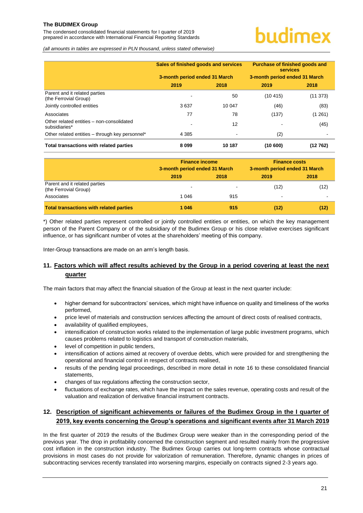The condensed consolidated financial statements for I quarter of 2019 prepared in accordance with International Financial Reporting Standards

# uudimex

*(all amounts in tables are expressed in PLN thousand, unless stated otherwise)*

|                                                            | Sales of finished goods and services |        | <b>Purchase of finished goods and</b><br><b>services</b> |          |  |
|------------------------------------------------------------|--------------------------------------|--------|----------------------------------------------------------|----------|--|
|                                                            | 3-month period ended 31 March        |        | 3-month period ended 31 March                            |          |  |
|                                                            | 2019                                 | 2018   | 2019                                                     | 2018     |  |
| Parent and it related parties<br>(the Ferrovial Group)     |                                      | 50     | (10415)                                                  | (11 373) |  |
| Jointly controlled entities                                | 3637                                 | 10 047 | (46)                                                     | (83)     |  |
| Associates                                                 | 77                                   | 78     | (137)                                                    | (1261)   |  |
| Other related entities - non-consolidated<br>subsidiaries* |                                      | 12     |                                                          | (45)     |  |
| Other related entities - through key personnel*            | 4 3 8 5                              |        | (2)                                                      |          |  |
| Total transactions with related parties                    | 8099                                 | 10 187 | (10600)                                                  | (12762)  |  |

|                                                        | <b>Finance income</b><br>3-month period ended 31 March |      | <b>Finance costs</b><br>3-month period ended 31 March |      |
|--------------------------------------------------------|--------------------------------------------------------|------|-------------------------------------------------------|------|
|                                                        | 2019                                                   | 2018 | 2019                                                  | 2018 |
| Parent and it related parties<br>(the Ferrovial Group) | -                                                      |      | (12)                                                  | (12) |
| Associates                                             | 1 046                                                  | 915  | $\,$                                                  |      |
| <b>Total transactions with related parties</b>         | 1 0 4 6                                                | 915  | (12)                                                  | (12) |

\*) Other related parties represent controlled or jointly controlled entities or entities, on which the key management person of the Parent Company or of the subsidiary of the Budimex Group or his close relative exercises significant influence, or has significant number of votes at the shareholders' meeting of this company.

Inter-Group transactions are made on an arm's length basis.

# <span id="page-21-0"></span>**11. Factors which will affect results achieved by the Group in a period covering at least the next quarter**

The main factors that may affect the financial situation of the Group at least in the next quarter include:

- higher demand for subcontractors' services, which might have influence on quality and timeliness of the works performed,
- price level of materials and construction services affecting the amount of direct costs of realised contracts,
- availability of qualified employees,
- intensification of construction works related to the implementation of large public investment programs, which causes problems related to logistics and transport of construction materials,
- level of competition in public tenders,
- intensification of actions aimed at recovery of overdue debts, which were provided for and strengthening the operational and financial control in respect of contracts realised,
- results of the pending legal proceedings, described in more detail in note 16 to these consolidated financial statements,
- changes of tax regulations affecting the construction sector,
- fluctuations of exchange rates, which have the impact on the sales revenue, operating costs and result of the valuation and realization of derivative financial instrument contracts.

# <span id="page-21-1"></span>**12. Description of significant achievements or failures of the Budimex Group in the I quarter of 2019, key events concerning the Group's operations and significant events after 31 March 2019**

In the first quarter of 2019 the results of the Budimex Group were weaker than in the corresponding period of the previous year. The drop in profitability concerned the construction segment and resulted mainly from the progressive cost inflation in the construction industry. The Budimex Group carries out long-term contracts whose contractual provisions in most cases do not provide for valorization of remuneration. Therefore, dynamic changes in prices of subcontracting services recently translated into worsening margins, especially on contracts signed 2-3 years ago.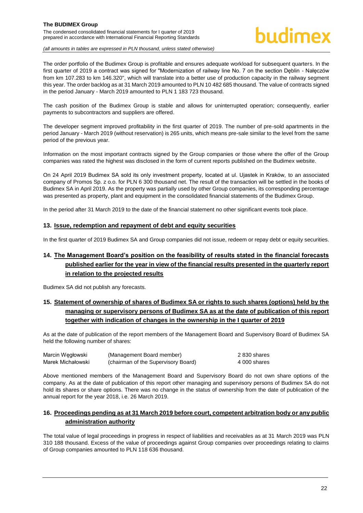#### **The BUDIMEX Group**  The condensed consolidated financial statements for I quarter of 2019 prepared in accordance with International Financial Reporting Standards

# hudimex

*(all amounts in tables are expressed in PLN thousand, unless stated otherwise)*

The order portfolio of the Budimex Group is profitable and ensures adequate workload for subsequent quarters. In the first quarter of 2019 a contract was signed for "Modernization of railway line No. 7 on the section Dęblin - Nałęczów from km 107.283 to km 146.320", which will translate into a better use of production capacity in the railway segment this year. The order backlog as at 31 March 2019 amounted to PLN 10 482 685 thousand. The value of contracts signed in the period January - March 2019 amounted to PLN 1 183 723 thousand.

The cash position of the Budimex Group is stable and allows for uninterrupted operation; consequently, earlier payments to subcontractors and suppliers are offered.

The developer segment improved profitability in the first quarter of 2019. The number of pre-sold apartments in the period January - March 2019 (without reservation) is 265 units, which means pre-sale similar to the level from the same period of the previous year.

Information on the most important contracts signed by the Group companies or those where the offer of the Group companies was rated the highest was disclosed in the form of current reports published on the Budimex website.

On 24 April 2019 Budimex SA sold its only investment property, located at ul. Ujastek in Kraków, to an associated company of Promos Sp. z o.o. for PLN 6 300 thousand net. The result of the transaction will be settled in the books of Budimex SA in April 2019. As the property was partially used by other Group companies, its corresponding percentage was presented as property, plant and equipment in the consolidated financial statements of the Budimex Group.

In the period after 31 March 2019 to the date of the financial statement no other significant events took place.

### <span id="page-22-0"></span>**13. Issue, redemption and repayment of debt and equity securities**

In the first quarter of 2019 Budimex SA and Group companies did not issue, redeem or repay debt or equity securities.

# <span id="page-22-1"></span>**14. The Management Board's position on the feasibility of results stated in the financial forecasts published earlier for the year in view of the financial results presented in the quarterly report in relation to the projected results**

Budimex SA did not publish any forecasts.

# <span id="page-22-2"></span>**15. Statement of ownership of shares of Budimex SA or rights to such shares (options) held by the managing or supervisory persons of Budimex SA as at the date of publication of this report together with indication of changes in the ownership in the I quarter of 2019**

As at the date of publication of the report members of the Management Board and Supervisory Board of Budimex SA held the following number of shares:

| Marcin Wegłowski  | (Management Board member)           | 2 830 shares |
|-------------------|-------------------------------------|--------------|
| Marek Michałowski | (chairman of the Supervisory Board) | 4 000 shares |

Above mentioned members of the Management Board and Supervisory Board do not own share options of the company. As at the date of publication of this report other managing and supervisory persons of Budimex SA do not hold its shares or share options. There was no change in the status of ownership from the date of publication of the annual report for the year 2018, i.e. 26 March 2019.

# <span id="page-22-3"></span>**16. Proceedings pending as at 31 March 2019 before court, competent arbitration body or any public administration authority**

The total value of legal proceedings in progress in respect of liabilities and receivables as at 31 March 2019 was PLN 310 188 thousand. Excess of the value of proceedings against Group companies over proceedings relating to claims of Group companies amounted to PLN 118 636 thousand.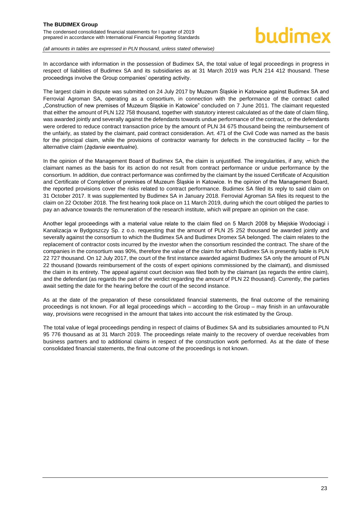#### **The BUDIMEX Group**  The condensed consolidated financial statements for I quarter of 2019 prepared in accordance with International Financial Reporting Standards

*(all amounts in tables are expressed in PLN thousand, unless stated otherwise)*

In accordance with information in the possession of Budimex SA, the total value of legal proceedings in progress in respect of liabilities of Budimex SA and its subsidiaries as at 31 March 2019 was PLN 214 412 thousand. These proceedings involve the Group companies' operating activity.

The largest claim in dispute was submitted on 24 July 2017 by Muzeum Śląskie in Katowice against Budimex SA and Ferrovial Agroman SA, operating as a consortium, in connection with the performance of the contract called "Construction of new premises of Muzeum Śląskie in Katowice" concluded on 7 June 2011. The claimant requested that either the amount of PLN 122 758 thousand, together with statutory interest calculated as of the date of claim filing, was awarded jointly and severally against the defendants towards undue performance of the contract, or the defendants were ordered to reduce contract transaction price by the amount of PLN 34 675 thousand being the reimbursement of the unfairly, as stated by the claimant, paid contract consideration. Art. 471 of the Civil Code was named as the basis for the principal claim, while the provisions of contractor warranty for defects in the constructed facility – for the alternative claim (*żądanie ewentualne*).

In the opinion of the Management Board of Budimex SA, the claim is unjustified. The irregularities, if any, which the claimant names as the basis for its action do not result from contract performance or undue performance by the consortium. In addition, due contract performance was confirmed by the claimant by the issued Certificate of Acquisition and Certificate of Completion of premises of Muzeum Śląskie in Katowice. In the opinion of the Management Board, the reported provisions cover the risks related to contract performance. Budimex SA filed its reply to said claim on 31 October 2017. It was supplemented by Budimex SA in January 2018. Ferrovial Agroman SA files its request to the claim on 22 October 2018. The first hearing took place on 11 March 2019, during which the court obliged the parties to pay an advance towards the remuneration of the research institute, which will prepare an opinion on the case.

Another legal proceedings with a material value relate to the claim filed on 5 March 2008 by Miejskie Wodociągi i Kanalizacja w Bydgoszczy Sp. z o.o. requesting that the amount of PLN 25 252 thousand be awarded jointly and severally against the consortium to which the Budimex SA and Budimex Dromex SA belonged. The claim relates to the replacement of contractor costs incurred by the investor when the consortium rescinded the contract. The share of the companies in the consortium was 90%, therefore the value of the claim for which Budimex SA is presently liable is PLN 22 727 thousand. On 12 July 2017, the court of the first instance awarded against Budimex SA only the amount of PLN 22 thousand (towards reimbursement of the costs of expert opinions commissioned by the claimant), and dismissed the claim in its entirety. The appeal against court decision was filed both by the claimant (as regards the entire claim), and the defendant (as regards the part of the verdict regarding the amount of PLN 22 thousand). Currently, the parties await setting the date for the hearing before the court of the second instance.

As at the date of the preparation of these consolidated financial statements, the final outcome of the remaining proceedings is not known. For all legal proceedings which – according to the Group – may finish in an unfavourable way, provisions were recognised in the amount that takes into account the risk estimated by the Group.

The total value of legal proceedings pending in respect of claims of Budimex SA and its subsidiaries amounted to PLN 95 776 thousand as at 31 March 2019. The proceedings relate mainly to the recovery of overdue receivables from business partners and to additional claims in respect of the construction work performed. As at the date of these consolidated financial statements, the final outcome of the proceedings is not known.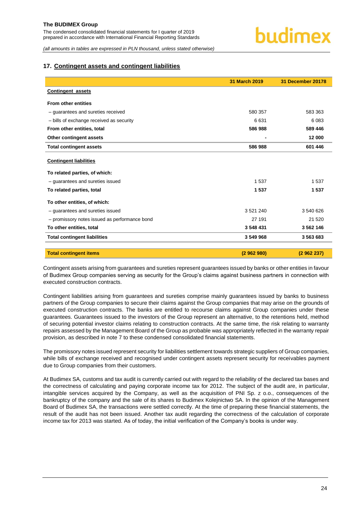### <span id="page-24-0"></span>**17. Contingent assets and contingent liabilities**

|                                               | 31 March 2019 | <b>31 December 20178</b> |  |
|-----------------------------------------------|---------------|--------------------------|--|
| <b>Contingent assets</b>                      |               |                          |  |
| <b>From other entities</b>                    |               |                          |  |
| - guarantees and sureties received            | 580 357       | 583 363                  |  |
| - bills of exchange received as security      | 6631          | 6 0 8 3                  |  |
| From other entities, total                    | 586 988       | 589 446                  |  |
| Other contingent assets                       |               | 12 000                   |  |
| <b>Total contingent assets</b>                | 586 988       | 601 446                  |  |
| <b>Contingent liabilities</b>                 |               |                          |  |
| To related parties, of which:                 |               |                          |  |
| - quarantees and sureties issued              | 1 5 3 7       | 1537                     |  |
| To related parties, total                     | 1537          | 1537                     |  |
| To other entities, of which:                  |               |                          |  |
| - quarantees and sureties issued              | 3 5 21 240    | 3 540 626                |  |
| - promissory notes issued as performance bond | 27 191        | 21 5 20                  |  |
| To other entities, total                      | 3548431       | 3 562 146                |  |
| <b>Total contingent liabilities</b>           | 3 549 968     | 3 563 683                |  |
| <b>Total contingent items</b>                 | (2962980)     | (2962237)                |  |

Contingent assets arising from guarantees and sureties represent guarantees issued by banks or other entities in favour of Budimex Group companies serving as security for the Group's claims against business partners in connection with executed construction contracts.

Contingent liabilities arising from guarantees and sureties comprise mainly guarantees issued by banks to business partners of the Group companies to secure their claims against the Group companies that may arise on the grounds of executed construction contracts. The banks are entitled to recourse claims against Group companies under these guarantees. Guarantees issued to the investors of the Group represent an alternative, to the retentions held, method of securing potential investor claims relating to construction contracts. At the same time, the risk relating to warranty repairs assessed by the Management Board of the Group as probable was appropriately reflected in the warranty repair provision, as described in note 7 to these condensed consolidated financial statements.

The promissory notes issued represent security for liabilities settlement towards strategic suppliers of Group companies, while bills of exchange received and recognised under contingent assets represent security for receivables payment due to Group companies from their customers.

At Budimex SA, customs and tax audit is currently carried out with regard to the reliability of the declared tax bases and the correctness of calculating and paying corporate income tax for 2012. The subject of the audit are, in particular, intangible services acquired by the Company, as well as the acquisition of PNI Sp. z o.o., consequences of the bankruptcy of the company and the sale of its shares to Budimex Kolejnictwo SA. In the opinion of the Management Board of Budimex SA, the transactions were settled correctly. At the time of preparing these financial statements, the result of the audit has not been issued. Another tax audit regarding the correctness of the calculation of corporate income tax for 2013 was started. As of today, the initial verification of the Company's books is under way.